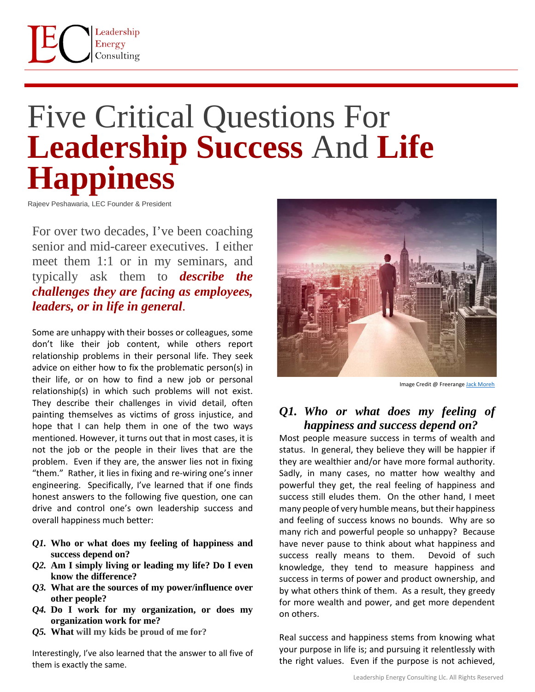

# Five Critical Questions For **Leadership Success** And **Life Happiness**

Rajeev Peshawaria, LEC Founder & President

For over two decades, I've been coaching senior and mid-career executives. I either meet them 1:1 or in my seminars, and typically ask them to *describe the challenges they are facing as employees, leaders, or in life in general*.

Some are unhappy with their bosses or colleagues, some don't like their job content, while others report relationship problems in their personal life. They seek advice on either how to fix the problematic person(s) in their life, or on how to find a new job or personal relationship(s) in which such problems will not exist. They describe their challenges in vivid detail, often painting themselves as victims of gross injustice, and hope that I can help them in one of the two ways mentioned. However, it turns out that in most cases, it is not the job or the people in their lives that are the problem. Even if they are, the answer lies not in fixing "them." Rather, it lies in fixing and re-wiring one's inner engineering. Specifically, I've learned that if one finds honest answers to the following five question, one can drive and control one's own leadership success and overall happiness much better:

- *Q1.* **Who or what does my feeling of happiness and success depend on?**
- *Q2.* **Am I simply living or leading my life? Do I even know the difference?**
- *Q3.* **What are the sources of my power/influence over other people?**
- *Q4.* **Do I work for my organization, or does my organization work for me?**
- *Q5.* **What will my kids be proud of me for?**

Interestingly, I've also learned that the answer to all five of them is exactly the same.



Image Credit @ Freerang[e Jack Moreh](https://freerangestock.com/photos/120271/businessman-on-arrow-over-manhattan--new-york--success-and-achievement-concept.html)

### *Q1. Who or what does my feeling of happiness and success depend on?*

Most people measure success in terms of wealth and status. In general, they believe they will be happier if they are wealthier and/or have more formal authority. Sadly, in many cases, no matter how wealthy and powerful they get, the real feeling of happiness and success still eludes them. On the other hand, I meet many people of very humble means, but their happiness and feeling of success knows no bounds. Why are so many rich and powerful people so unhappy? Because have never pause to think about what happiness and success really means to them. Devoid of such knowledge, they tend to measure happiness and success in terms of power and product ownership, and by what others think of them. As a result, they greedy for more wealth and power, and get more dependent on others.

Real success and happiness stems from knowing what your purpose in life is; and pursuing it relentlessly with the right values. Even if the purpose is not achieved,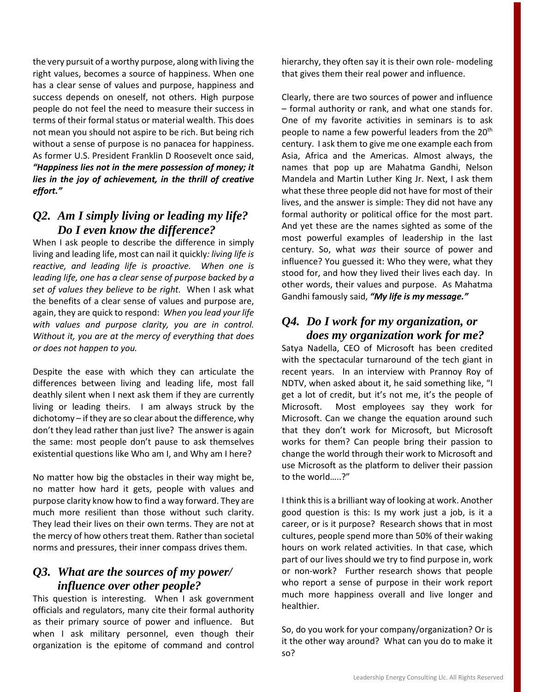the very pursuit of a worthy purpose, along with living the right values, becomes a source of happiness. When one has a clear sense of values and purpose, happiness and success depends on oneself, not others. High purpose people do not feel the need to measure their success in terms of their formal status or material wealth. This does not mean you should not aspire to be rich. But being rich without a sense of purpose is no panacea for happiness. As former U.S. President Franklin D Roosevelt once said, *"Happiness lies not in the mere possession of money; it lies in the joy of achievement, in the thrill of creative effort."*

## *Q2. Am I simply living or leading my life? Do I even know the difference?*

When I ask people to describe the difference in simply living and leading life, most can nail it quickly*: living life is reactive, and leading life is proactive. When one is leading life, one has a clear sense of purpose backed by a set of values they believe to be right.* When I ask what the benefits of a clear sense of values and purpose are, again, they are quick to respond: *When you lead your life with values and purpose clarity, you are in control. Without it, you are at the mercy of everything that does or does not happen to you.* 

Despite the ease with which they can articulate the differences between living and leading life, most fall deathly silent when I next ask them if they are currently living or leading theirs. I am always struck by the dichotomy – if they are so clear about the difference, why don't they lead rather than just live? The answer is again the same: most people don't pause to ask themselves existential questions like Who am I, and Why am I here?

No matter how big the obstacles in their way might be, no matter how hard it gets, people with values and purpose clarity know how to find a way forward. They are much more resilient than those without such clarity. They lead their lives on their own terms. They are not at the mercy of how others treat them. Rather than societal norms and pressures, their inner compass drives them.

# *Q3. What are the sources of my power/ influence over other people?*

This question is interesting. When I ask government officials and regulators, many cite their formal authority as their primary source of power and influence. But when I ask military personnel, even though their organization is the epitome of command and control

hierarchy, they often say it is their own role- modeling that gives them their real power and influence.

Clearly, there are two sources of power and influence – formal authority or rank, and what one stands for. One of my favorite activities in seminars is to ask people to name a few powerful leaders from the 20<sup>th</sup> century. I ask them to give me one example each from Asia, Africa and the Americas. Almost always, the names that pop up are Mahatma Gandhi, Nelson Mandela and Martin Luther King Jr. Next, I ask them what these three people did not have for most of their lives, and the answer is simple: They did not have any formal authority or political office for the most part. And yet these are the names sighted as some of the most powerful examples of leadership in the last century. So, what *was* their source of power and influence? You guessed it: Who they were, what they stood for, and how they lived their lives each day. In other words, their values and purpose. As Mahatma Gandhi famously said, *"My life is my message."*

### *Q4. Do I work for my organization, or does my organization work for me?*

Satya Nadella, CEO of Microsoft has been credited with the spectacular turnaround of the tech giant in recent years. In an interview with Prannoy Roy of NDTV, when asked about it, he said something like, "I get a lot of credit, but it's not me, it's the people of Microsoft. Most employees say they work for Microsoft. Can we change the equation around such that they don't work for Microsoft, but Microsoft works for them? Can people bring their passion to change the world through their work to Microsoft and use Microsoft as the platform to deliver their passion to the world…..?"

I think this is a brilliant way of looking at work. Another good question is this: Is my work just a job, is it a career, or is it purpose? Research shows that in most cultures, people spend more than 50% of their waking hours on work related activities. In that case, which part of our lives should we try to find purpose in, work or non-work? Further research shows that people who report a sense of purpose in their work report much more happiness overall and live longer and healthier.

So, do you work for your company/organization? Or is it the other way around? What can you do to make it so?